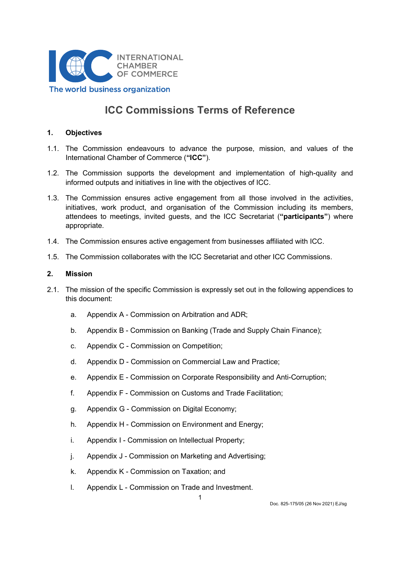

# ICC Commissions Terms of Reference

### 1. Objectives

- 1.1. The Commission endeavours to advance the purpose, mission, and values of the International Chamber of Commerce ("ICC").
- 1.2. The Commission supports the development and implementation of high-quality and informed outputs and initiatives in line with the objectives of ICC.
- 1.3. The Commission ensures active engagement from all those involved in the activities, initiatives, work product, and organisation of the Commission including its members, attendees to meetings, invited guests, and the ICC Secretariat ("participants") where appropriate.
- 1.4. The Commission ensures active engagement from businesses affiliated with ICC.
- 1.5. The Commission collaborates with the ICC Secretariat and other ICC Commissions.

#### 2. Mission

- 2.1. The mission of the specific Commission is expressly set out in the following appendices to this document:
	- a. Appendix A Commission on Arbitration and ADR;
	- b. Appendix B Commission on Banking (Trade and Supply Chain Finance);
	- c. Appendix C Commission on Competition;
	- d. Appendix D Commission on Commercial Law and Practice;
	- e. Appendix E Commission on Corporate Responsibility and Anti-Corruption;
	- f. Appendix F Commission on Customs and Trade Facilitation;
	- g. Appendix G Commission on Digital Economy;
	- h. Appendix H Commission on Environment and Energy;
	- i. Appendix I Commission on Intellectual Property;
	- j. Appendix J Commission on Marketing and Advertising;
	- k. Appendix K Commission on Taxation; and
	- l. Appendix L Commission on Trade and Investment.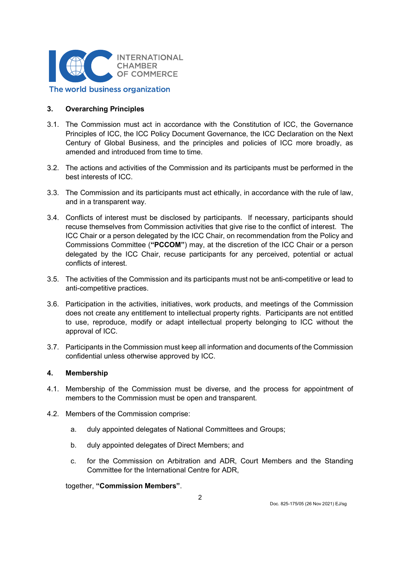

### 3. Overarching Principles

- 3.1. The Commission must act in accordance with the Constitution of ICC, the Governance Principles of ICC, the ICC Policy Document Governance, the ICC Declaration on the Next Century of Global Business, and the principles and policies of ICC more broadly, as amended and introduced from time to time.
- 3.2. The actions and activities of the Commission and its participants must be performed in the best interests of ICC.
- 3.3. The Commission and its participants must act ethically, in accordance with the rule of law, and in a transparent way.
- 3.4. Conflicts of interest must be disclosed by participants. If necessary, participants should recuse themselves from Commission activities that give rise to the conflict of interest. The ICC Chair or a person delegated by the ICC Chair, on recommendation from the Policy and Commissions Committee ("PCCOM") may, at the discretion of the ICC Chair or a person delegated by the ICC Chair, recuse participants for any perceived, potential or actual conflicts of interest.
- 3.5. The activities of the Commission and its participants must not be anti-competitive or lead to anti-competitive practices.
- 3.6. Participation in the activities, initiatives, work products, and meetings of the Commission does not create any entitlement to intellectual property rights. Participants are not entitled to use, reproduce, modify or adapt intellectual property belonging to ICC without the approval of ICC.
- 3.7. Participants in the Commission must keep all information and documents of the Commission confidential unless otherwise approved by ICC.

#### 4. Membership

- 4.1. Membership of the Commission must be diverse, and the process for appointment of members to the Commission must be open and transparent.
- 4.2. Members of the Commission comprise:
	- a. duly appointed delegates of National Committees and Groups;
	- b. duly appointed delegates of Direct Members; and
	- c. for the Commission on Arbitration and ADR, Court Members and the Standing Committee for the International Centre for ADR,

together, "Commission Members".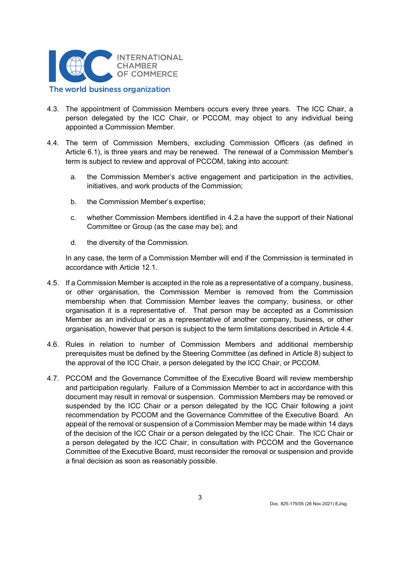

- 4.3. The appointment of Commission Members occurs every three years. The ICC Chair, a person delegated by the ICC Chair, or PCCOM, may object to any individual being appointed a Commission Member.
- 4.4. The term of Commission Members, excluding Commission Officers (as defined in Article 6.1), is three years and may be renewed. The renewal of a Commission Member's term is subject to review and approval of PCCOM, taking into account:
	- a. the Commission Member's active engagement and participation in the activities, initiatives, and work products of the Commission;
	- b. the Commission Member's expertise;
	- c. whether Commission Members identified in 4.2.a have the support of their National Committee or Group (as the case may be); and
	- d. the diversity of the Commission.

In any case, the term of a Commission Member will end if the Commission is terminated in accordance with Article 12.1.

- 4.5. If a Commission Member is accepted in the role as a representative of a company, business, or other organisation, the Commission Member is removed from the Commission membership when that Commission Member leaves the company, business, or other organisation it is a representative of. That person may be accepted as a Commission Member as an individual or as a representative of another company, business, or other organisation, however that person is subject to the term limitations described in Article 4.4.
- 4.6. Rules in relation to number of Commission Members and additional membership prerequisites must be defined by the Steering Committee (as defined in Article 8) subject to the approval of the ICC Chair, a person delegated by the ICC Chair, or PCCOM.
- 4.7. PCCOM and the Governance Committee of the Executive Board will review membership and participation regularly. Failure of a Commission Member to act in accordance with this document may result in removal or suspension. Commission Members may be removed or suspended by the ICC Chair or a person delegated by the ICC Chair following a joint recommendation by PCCOM and the Governance Committee of the Executive Board. An appeal of the removal or suspension of a Commission Member may be made within 14 days of the decision of the ICC Chair or a person delegated by the ICC Chair. The ICC Chair or a person delegated by the ICC Chair, in consultation with PCCOM and the Governance Committee of the Executive Board, must reconsider the removal or suspension and provide a final decision as soon as reasonably possible.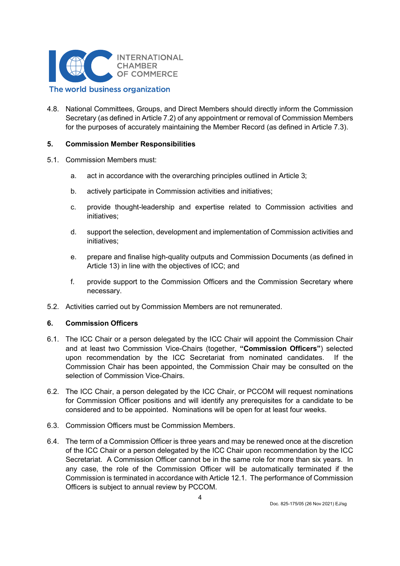

4.8. National Committees, Groups, and Direct Members should directly inform the Commission Secretary (as defined in Article 7.2) of any appointment or removal of Commission Members for the purposes of accurately maintaining the Member Record (as defined in Article 7.3).

### 5. Commission Member Responsibilities

- 5.1. Commission Members must:
	- a. act in accordance with the overarching principles outlined in Article 3;
	- b. actively participate in Commission activities and initiatives;
	- c. provide thought-leadership and expertise related to Commission activities and initiatives;
	- d. support the selection, development and implementation of Commission activities and initiatives;
	- e. prepare and finalise high-quality outputs and Commission Documents (as defined in Article 13) in line with the objectives of ICC; and
	- f. provide support to the Commission Officers and the Commission Secretary where necessary.
- 5.2. Activities carried out by Commission Members are not remunerated.

### 6. Commission Officers

- 6.1. The ICC Chair or a person delegated by the ICC Chair will appoint the Commission Chair and at least two Commission Vice-Chairs (together, "Commission Officers") selected upon recommendation by the ICC Secretariat from nominated candidates. If the Commission Chair has been appointed, the Commission Chair may be consulted on the selection of Commission Vice-Chairs.
- 6.2. The ICC Chair, a person delegated by the ICC Chair, or PCCOM will request nominations for Commission Officer positions and will identify any prerequisites for a candidate to be considered and to be appointed. Nominations will be open for at least four weeks.
- 6.3. Commission Officers must be Commission Members.
- 6.4. The term of a Commission Officer is three years and may be renewed once at the discretion of the ICC Chair or a person delegated by the ICC Chair upon recommendation by the ICC Secretariat. A Commission Officer cannot be in the same role for more than six years. In any case, the role of the Commission Officer will be automatically terminated if the Commission is terminated in accordance with Article 12.1. The performance of Commission Officers is subject to annual review by PCCOM.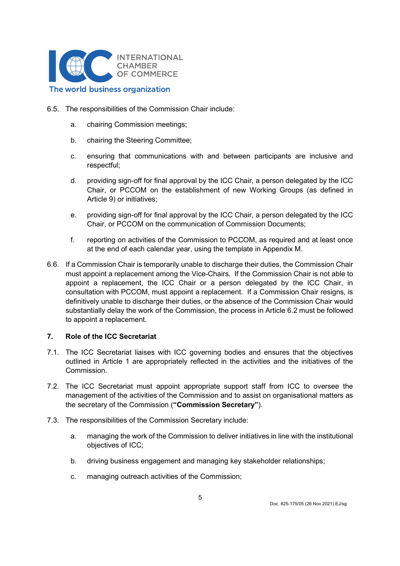

### 6.5. The responsibilities of the Commission Chair include:

- a. chairing Commission meetings;
- b. chairing the Steering Committee;
- c. ensuring that communications with and between participants are inclusive and respectful;
- d. providing sign-off for final approval by the ICC Chair, a person delegated by the ICC Chair, or PCCOM on the establishment of new Working Groups (as defined in Article 9) or initiatives;
- e. providing sign-off for final approval by the ICC Chair, a person delegated by the ICC Chair, or PCCOM on the communication of Commission Documents;
- f. reporting on activities of the Commission to PCCOM, as required and at least once at the end of each calendar year, using the template in Appendix M.
- 6.6. If a Commission Chair is temporarily unable to discharge their duties, the Commission Chair must appoint a replacement among the Vice-Chairs. If the Commission Chair is not able to appoint a replacement, the ICC Chair or a person delegated by the ICC Chair, in consultation with PCCOM, must appoint a replacement. If a Commission Chair resigns, is definitively unable to discharge their duties, or the absence of the Commission Chair would substantially delay the work of the Commission, the process in Article 6.2 must be followed to appoint a replacement.

### 7. Role of the ICC Secretariat

- 7.1. The ICC Secretariat liaises with ICC governing bodies and ensures that the objectives outlined in Article 1 are appropriately reflected in the activities and the initiatives of the Commission.
- 7.2. The ICC Secretariat must appoint appropriate support staff from ICC to oversee the management of the activities of the Commission and to assist on organisational matters as the secretary of the Commission ("Commission Secretary").
- 7.3. The responsibilities of the Commission Secretary include:
	- a. managing the work of the Commission to deliver initiatives in line with the institutional objectives of ICC;
	- b. driving business engagement and managing key stakeholder relationships;
	- c. managing outreach activities of the Commission;

5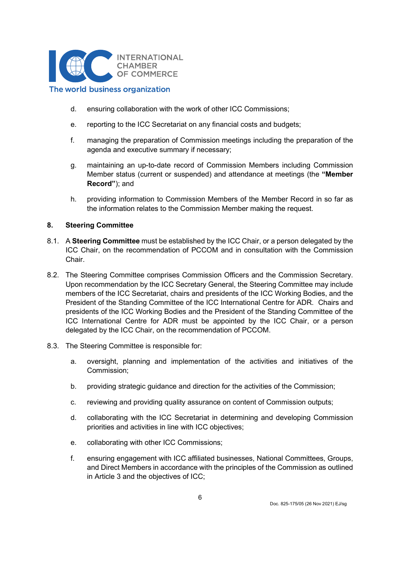

- d. ensuring collaboration with the work of other ICC Commissions;
- e. reporting to the ICC Secretariat on any financial costs and budgets;
- f. managing the preparation of Commission meetings including the preparation of the agenda and executive summary if necessary;
- g. maintaining an up-to-date record of Commission Members including Commission Member status (current or suspended) and attendance at meetings (the "Member Record"); and
- h. providing information to Commission Members of the Member Record in so far as the information relates to the Commission Member making the request.

#### 8. Steering Committee

- 8.1. A Steering Committee must be established by the ICC Chair, or a person delegated by the ICC Chair, on the recommendation of PCCOM and in consultation with the Commission Chair.
- 8.2. The Steering Committee comprises Commission Officers and the Commission Secretary. Upon recommendation by the ICC Secretary General, the Steering Committee may include members of the ICC Secretariat, chairs and presidents of the ICC Working Bodies, and the President of the Standing Committee of the ICC International Centre for ADR. Chairs and presidents of the ICC Working Bodies and the President of the Standing Committee of the ICC International Centre for ADR must be appointed by the ICC Chair, or a person delegated by the ICC Chair, on the recommendation of PCCOM.
- 8.3. The Steering Committee is responsible for:
	- a. oversight, planning and implementation of the activities and initiatives of the Commission;
	- b. providing strategic guidance and direction for the activities of the Commission;
	- c. reviewing and providing quality assurance on content of Commission outputs;
	- d. collaborating with the ICC Secretariat in determining and developing Commission priorities and activities in line with ICC objectives;
	- e. collaborating with other ICC Commissions;
	- f. ensuring engagement with ICC affiliated businesses, National Committees, Groups, and Direct Members in accordance with the principles of the Commission as outlined in Article 3 and the objectives of ICC;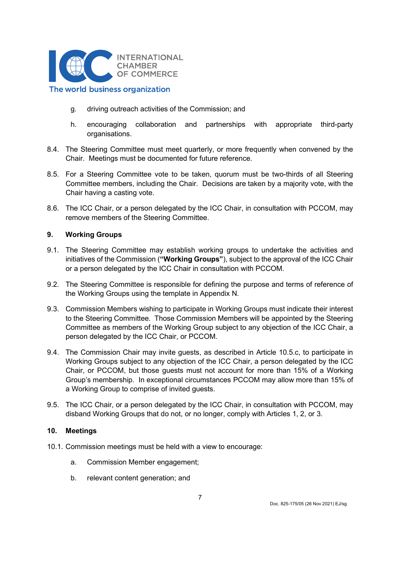

- g. driving outreach activities of the Commission; and
- h. encouraging collaboration and partnerships with appropriate third-party organisations.
- 8.4. The Steering Committee must meet quarterly, or more frequently when convened by the Chair. Meetings must be documented for future reference.
- 8.5. For a Steering Committee vote to be taken, quorum must be two-thirds of all Steering Committee members, including the Chair. Decisions are taken by a majority vote, with the Chair having a casting vote.
- 8.6. The ICC Chair, or a person delegated by the ICC Chair, in consultation with PCCOM, may remove members of the Steering Committee.

### 9. Working Groups

- 9.1. The Steering Committee may establish working groups to undertake the activities and initiatives of the Commission ("Working Groups"), subject to the approval of the ICC Chair or a person delegated by the ICC Chair in consultation with PCCOM.
- 9.2. The Steering Committee is responsible for defining the purpose and terms of reference of the Working Groups using the template in Appendix N.
- 9.3. Commission Members wishing to participate in Working Groups must indicate their interest to the Steering Committee. Those Commission Members will be appointed by the Steering Committee as members of the Working Group subject to any objection of the ICC Chair, a person delegated by the ICC Chair, or PCCOM.
- 9.4. The Commission Chair may invite guests, as described in Article 10.5.c, to participate in Working Groups subject to any objection of the ICC Chair, a person delegated by the ICC Chair, or PCCOM, but those guests must not account for more than 15% of a Working Group's membership. In exceptional circumstances PCCOM may allow more than 15% of a Working Group to comprise of invited guests.
- 9.5. The ICC Chair, or a person delegated by the ICC Chair, in consultation with PCCOM, may disband Working Groups that do not, or no longer, comply with Articles 1, 2, or 3.

#### 10. Meetings

- 10.1. Commission meetings must be held with a view to encourage:
	- a. Commission Member engagement;
	- b. relevant content generation; and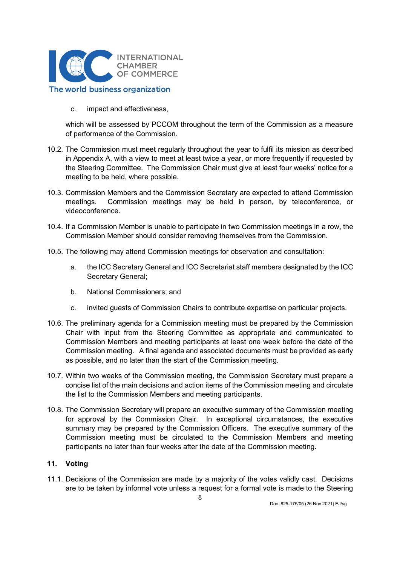

c. impact and effectiveness,

which will be assessed by PCCOM throughout the term of the Commission as a measure of performance of the Commission.

- 10.2. The Commission must meet regularly throughout the year to fulfil its mission as described in Appendix A, with a view to meet at least twice a year, or more frequently if requested by the Steering Committee. The Commission Chair must give at least four weeks' notice for a meeting to be held, where possible.
- 10.3. Commission Members and the Commission Secretary are expected to attend Commission meetings. Commission meetings may be held in person, by teleconference, or videoconference.
- 10.4. If a Commission Member is unable to participate in two Commission meetings in a row, the Commission Member should consider removing themselves from the Commission.
- 10.5. The following may attend Commission meetings for observation and consultation:
	- a. the ICC Secretary General and ICC Secretariat staff members designated by the ICC Secretary General;
	- b. National Commissioners; and
	- c. invited guests of Commission Chairs to contribute expertise on particular projects.
- 10.6. The preliminary agenda for a Commission meeting must be prepared by the Commission Chair with input from the Steering Committee as appropriate and communicated to Commission Members and meeting participants at least one week before the date of the Commission meeting. A final agenda and associated documents must be provided as early as possible, and no later than the start of the Commission meeting.
- 10.7. Within two weeks of the Commission meeting, the Commission Secretary must prepare a concise list of the main decisions and action items of the Commission meeting and circulate the list to the Commission Members and meeting participants.
- 10.8. The Commission Secretary will prepare an executive summary of the Commission meeting for approval by the Commission Chair. In exceptional circumstances, the executive summary may be prepared by the Commission Officers. The executive summary of the Commission meeting must be circulated to the Commission Members and meeting participants no later than four weeks after the date of the Commission meeting.

### 11. Voting

11.1. Decisions of the Commission are made by a majority of the votes validly cast. Decisions are to be taken by informal vote unless a request for a formal vote is made to the Steering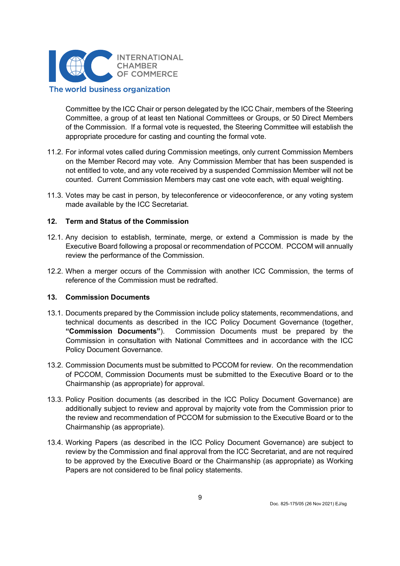

Committee by the ICC Chair or person delegated by the ICC Chair, members of the Steering Committee, a group of at least ten National Committees or Groups, or 50 Direct Members of the Commission. If a formal vote is requested, the Steering Committee will establish the appropriate procedure for casting and counting the formal vote.

- 11.2. For informal votes called during Commission meetings, only current Commission Members on the Member Record may vote. Any Commission Member that has been suspended is not entitled to vote, and any vote received by a suspended Commission Member will not be counted. Current Commission Members may cast one vote each, with equal weighting.
- 11.3. Votes may be cast in person, by teleconference or videoconference, or any voting system made available by the ICC Secretariat.

### 12. Term and Status of the Commission

- 12.1. Any decision to establish, terminate, merge, or extend a Commission is made by the Executive Board following a proposal or recommendation of PCCOM. PCCOM will annually review the performance of the Commission.
- 12.2. When a merger occurs of the Commission with another ICC Commission, the terms of reference of the Commission must be redrafted.

#### 13. Commission Documents

- 13.1. Documents prepared by the Commission include policy statements, recommendations, and technical documents as described in the ICC Policy Document Governance (together, "Commission Documents"). Commission Documents must be prepared by the Commission in consultation with National Committees and in accordance with the ICC Policy Document Governance.
- 13.2. Commission Documents must be submitted to PCCOM for review. On the recommendation of PCCOM, Commission Documents must be submitted to the Executive Board or to the Chairmanship (as appropriate) for approval.
- 13.3. Policy Position documents (as described in the ICC Policy Document Governance) are additionally subject to review and approval by majority vote from the Commission prior to the review and recommendation of PCCOM for submission to the Executive Board or to the Chairmanship (as appropriate).
- 13.4. Working Papers (as described in the ICC Policy Document Governance) are subject to review by the Commission and final approval from the ICC Secretariat, and are not required to be approved by the Executive Board or the Chairmanship (as appropriate) as Working Papers are not considered to be final policy statements.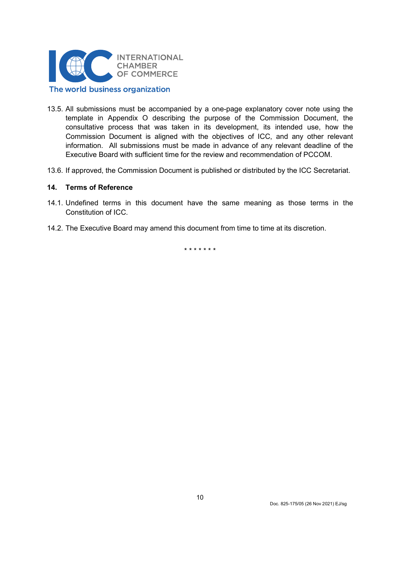

- 13.5. All submissions must be accompanied by a one-page explanatory cover note using the template in Appendix O describing the purpose of the Commission Document, the consultative process that was taken in its development, its intended use, how the Commission Document is aligned with the objectives of ICC, and any other relevant information. All submissions must be made in advance of any relevant deadline of the Executive Board with sufficient time for the review and recommendation of PCCOM.
- 13.6. If approved, the Commission Document is published or distributed by the ICC Secretariat.

### 14. Terms of Reference

- 14.1. Undefined terms in this document have the same meaning as those terms in the Constitution of ICC.
- 14.2. The Executive Board may amend this document from time to time at its discretion.

\* \* \* \* \* \* \*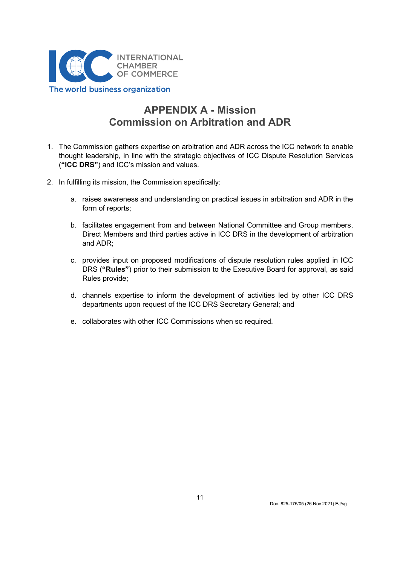

# APPENDIX A - Mission Commission on Arbitration and ADR

- 1. The Commission gathers expertise on arbitration and ADR across the ICC network to enable thought leadership, in line with the strategic objectives of ICC Dispute Resolution Services ("ICC DRS") and ICC's mission and values.
- 2. In fulfilling its mission, the Commission specifically:
	- a. raises awareness and understanding on practical issues in arbitration and ADR in the form of reports;
	- b. facilitates engagement from and between National Committee and Group members, Direct Members and third parties active in ICC DRS in the development of arbitration and ADR;
	- c. provides input on proposed modifications of dispute resolution rules applied in ICC DRS ("Rules") prior to their submission to the Executive Board for approval, as said Rules provide;
	- d. channels expertise to inform the development of activities led by other ICC DRS departments upon request of the ICC DRS Secretary General; and
	- e. collaborates with other ICC Commissions when so required.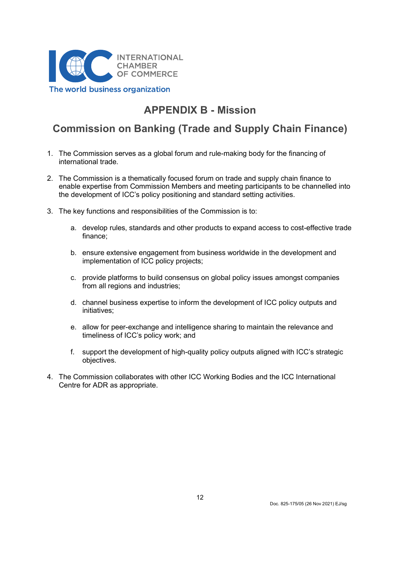

# APPENDIX B - Mission

# Commission on Banking (Trade and Supply Chain Finance)

- 1. The Commission serves as a global forum and rule-making body for the financing of international trade.
- 2. The Commission is a thematically focused forum on trade and supply chain finance to enable expertise from Commission Members and meeting participants to be channelled into the development of ICC's policy positioning and standard setting activities.
- 3. The key functions and responsibilities of the Commission is to:
	- a. develop rules, standards and other products to expand access to cost-effective trade finance;
	- b. ensure extensive engagement from business worldwide in the development and implementation of ICC policy projects;
	- c. provide platforms to build consensus on global policy issues amongst companies from all regions and industries;
	- d. channel business expertise to inform the development of ICC policy outputs and initiatives;
	- e. allow for peer-exchange and intelligence sharing to maintain the relevance and timeliness of ICC's policy work; and
	- f. support the development of high-quality policy outputs aligned with ICC's strategic objectives.
- 4. The Commission collaborates with other ICC Working Bodies and the ICC International Centre for ADR as appropriate.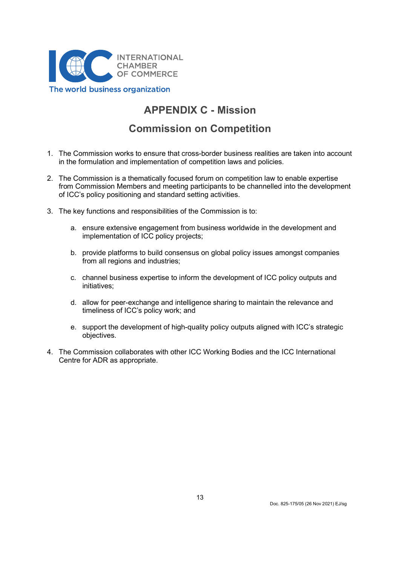

# APPENDIX C - Mission

## Commission on Competition

- 1. The Commission works to ensure that cross-border business realities are taken into account in the formulation and implementation of competition laws and policies.
- 2. The Commission is a thematically focused forum on competition law to enable expertise from Commission Members and meeting participants to be channelled into the development of ICC's policy positioning and standard setting activities.
- 3. The key functions and responsibilities of the Commission is to:
	- a. ensure extensive engagement from business worldwide in the development and implementation of ICC policy projects;
	- b. provide platforms to build consensus on global policy issues amongst companies from all regions and industries;
	- c. channel business expertise to inform the development of ICC policy outputs and initiatives;
	- d. allow for peer-exchange and intelligence sharing to maintain the relevance and timeliness of ICC's policy work; and
	- e. support the development of high-quality policy outputs aligned with ICC's strategic objectives.
- 4. The Commission collaborates with other ICC Working Bodies and the ICC International Centre for ADR as appropriate.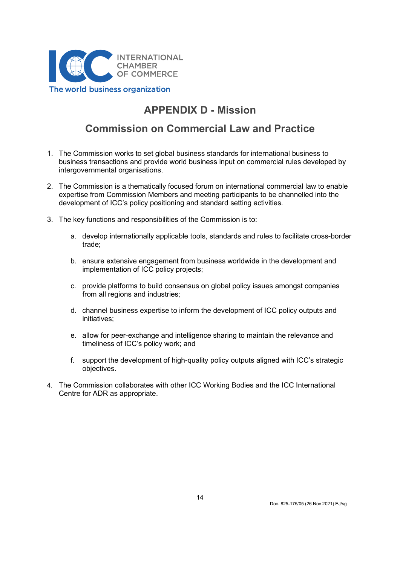

# APPENDIX D - Mission

## Commission on Commercial Law and Practice

- 1. The Commission works to set global business standards for international business to business transactions and provide world business input on commercial rules developed by intergovernmental organisations.
- 2. The Commission is a thematically focused forum on international commercial law to enable expertise from Commission Members and meeting participants to be channelled into the development of ICC's policy positioning and standard setting activities.
- 3. The key functions and responsibilities of the Commission is to:
	- a. develop internationally applicable tools, standards and rules to facilitate cross-border trade;
	- b. ensure extensive engagement from business worldwide in the development and implementation of ICC policy projects;
	- c. provide platforms to build consensus on global policy issues amongst companies from all regions and industries;
	- d. channel business expertise to inform the development of ICC policy outputs and initiatives;
	- e. allow for peer-exchange and intelligence sharing to maintain the relevance and timeliness of ICC's policy work; and
	- f. support the development of high-quality policy outputs aligned with ICC's strategic objectives.
- 4. The Commission collaborates with other ICC Working Bodies and the ICC International Centre for ADR as appropriate.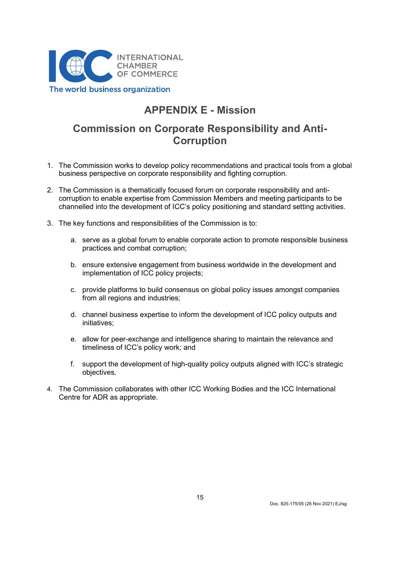

## APPENDIX E - Mission

## Commission on Corporate Responsibility and Anti-**Corruption**

- 1. The Commission works to develop policy recommendations and practical tools from a global business perspective on corporate responsibility and fighting corruption.
- 2. The Commission is a thematically focused forum on corporate responsibility and anticorruption to enable expertise from Commission Members and meeting participants to be channelled into the development of ICC's policy positioning and standard setting activities.
- 3. The key functions and responsibilities of the Commission is to:
	- a. serve as a global forum to enable corporate action to promote responsible business practices and combat corruption;
	- b. ensure extensive engagement from business worldwide in the development and implementation of ICC policy projects;
	- c. provide platforms to build consensus on global policy issues amongst companies from all regions and industries;
	- d. channel business expertise to inform the development of ICC policy outputs and initiatives;
	- e. allow for peer-exchange and intelligence sharing to maintain the relevance and timeliness of ICC's policy work; and
	- f. support the development of high-quality policy outputs aligned with ICC's strategic objectives.
- 4. The Commission collaborates with other ICC Working Bodies and the ICC International Centre for ADR as appropriate.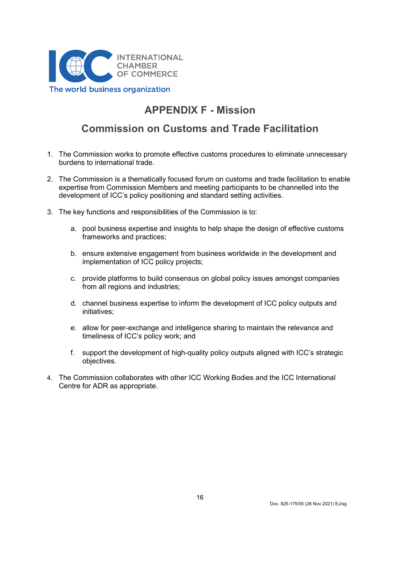

## APPENDIX F - Mission

## Commission on Customs and Trade Facilitation

- 1. The Commission works to promote effective customs procedures to eliminate unnecessary burdens to international trade.
- 2. The Commission is a thematically focused forum on customs and trade facilitation to enable expertise from Commission Members and meeting participants to be channelled into the development of ICC's policy positioning and standard setting activities.
- 3. The key functions and responsibilities of the Commission is to:
	- a. pool business expertise and insights to help shape the design of effective customs frameworks and practices;
	- b. ensure extensive engagement from business worldwide in the development and implementation of ICC policy projects;
	- c. provide platforms to build consensus on global policy issues amongst companies from all regions and industries;
	- d. channel business expertise to inform the development of ICC policy outputs and initiatives;
	- e. allow for peer-exchange and intelligence sharing to maintain the relevance and timeliness of ICC's policy work; and
	- f. support the development of high-quality policy outputs aligned with ICC's strategic objectives.
- 4. The Commission collaborates with other ICC Working Bodies and the ICC International Centre for ADR as appropriate.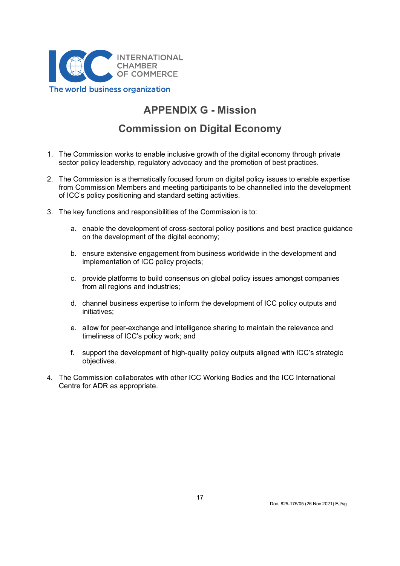

# APPENDIX G - Mission

## Commission on Digital Economy

- 1. The Commission works to enable inclusive growth of the digital economy through private sector policy leadership, regulatory advocacy and the promotion of best practices.
- 2. The Commission is a thematically focused forum on digital policy issues to enable expertise from Commission Members and meeting participants to be channelled into the development of ICC's policy positioning and standard setting activities.
- 3. The key functions and responsibilities of the Commission is to:
	- a. enable the development of cross-sectoral policy positions and best practice guidance on the development of the digital economy;
	- b. ensure extensive engagement from business worldwide in the development and implementation of ICC policy projects;
	- c. provide platforms to build consensus on global policy issues amongst companies from all regions and industries;
	- d. channel business expertise to inform the development of ICC policy outputs and initiatives;
	- e. allow for peer-exchange and intelligence sharing to maintain the relevance and timeliness of ICC's policy work; and
	- f. support the development of high-quality policy outputs aligned with ICC's strategic objectives.
- 4. The Commission collaborates with other ICC Working Bodies and the ICC International Centre for ADR as appropriate.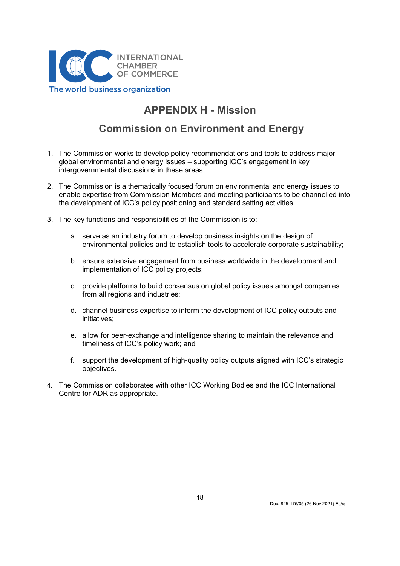

# APPENDIX H - Mission

## Commission on Environment and Energy

- 1. The Commission works to develop policy recommendations and tools to address major global environmental and energy issues – supporting ICC's engagement in key intergovernmental discussions in these areas.
- 2. The Commission is a thematically focused forum on environmental and energy issues to enable expertise from Commission Members and meeting participants to be channelled into the development of ICC's policy positioning and standard setting activities.
- 3. The key functions and responsibilities of the Commission is to:
	- a. serve as an industry forum to develop business insights on the design of environmental policies and to establish tools to accelerate corporate sustainability;
	- b. ensure extensive engagement from business worldwide in the development and implementation of ICC policy projects;
	- c. provide platforms to build consensus on global policy issues amongst companies from all regions and industries;
	- d. channel business expertise to inform the development of ICC policy outputs and initiatives;
	- e. allow for peer-exchange and intelligence sharing to maintain the relevance and timeliness of ICC's policy work; and
	- f. support the development of high-quality policy outputs aligned with ICC's strategic objectives.
- 4. The Commission collaborates with other ICC Working Bodies and the ICC International Centre for ADR as appropriate.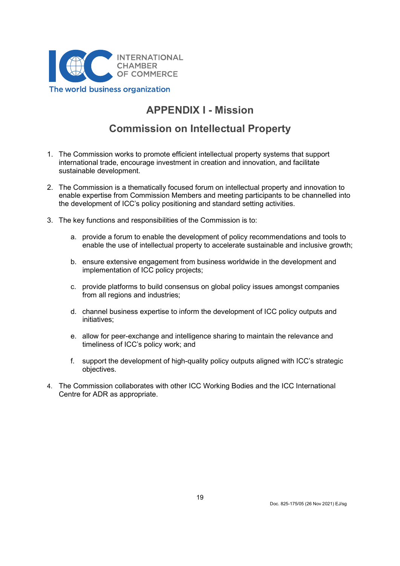

# APPENDIX I - Mission

# Commission on Intellectual Property

- 1. The Commission works to promote efficient intellectual property systems that support international trade, encourage investment in creation and innovation, and facilitate sustainable development.
- 2. The Commission is a thematically focused forum on intellectual property and innovation to enable expertise from Commission Members and meeting participants to be channelled into the development of ICC's policy positioning and standard setting activities.
- 3. The key functions and responsibilities of the Commission is to:
	- a. provide a forum to enable the development of policy recommendations and tools to enable the use of intellectual property to accelerate sustainable and inclusive growth;
	- b. ensure extensive engagement from business worldwide in the development and implementation of ICC policy projects;
	- c. provide platforms to build consensus on global policy issues amongst companies from all regions and industries;
	- d. channel business expertise to inform the development of ICC policy outputs and initiatives;
	- e. allow for peer-exchange and intelligence sharing to maintain the relevance and timeliness of ICC's policy work; and
	- f. support the development of high-quality policy outputs aligned with ICC's strategic objectives.
- 4. The Commission collaborates with other ICC Working Bodies and the ICC International Centre for ADR as appropriate.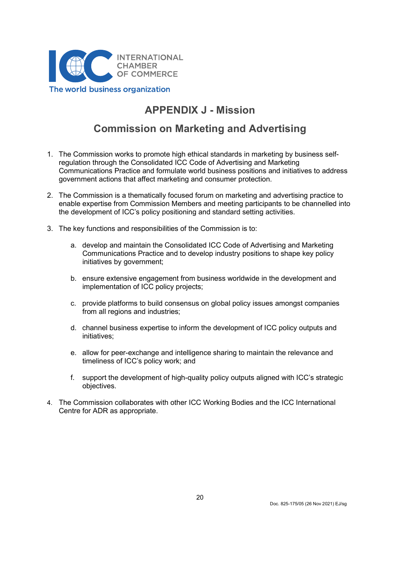

# APPENDIX J - Mission

## Commission on Marketing and Advertising

- 1. The Commission works to promote high ethical standards in marketing by business selfregulation through the Consolidated ICC Code of Advertising and Marketing Communications Practice and formulate world business positions and initiatives to address government actions that affect marketing and consumer protection.
- 2. The Commission is a thematically focused forum on marketing and advertising practice to enable expertise from Commission Members and meeting participants to be channelled into the development of ICC's policy positioning and standard setting activities.
- 3. The key functions and responsibilities of the Commission is to:
	- a. develop and maintain the Consolidated ICC Code of Advertising and Marketing Communications Practice and to develop industry positions to shape key policy initiatives by government;
	- b. ensure extensive engagement from business worldwide in the development and implementation of ICC policy projects;
	- c. provide platforms to build consensus on global policy issues amongst companies from all regions and industries;
	- d. channel business expertise to inform the development of ICC policy outputs and initiatives;
	- e. allow for peer-exchange and intelligence sharing to maintain the relevance and timeliness of ICC's policy work; and
	- f. support the development of high-quality policy outputs aligned with ICC's strategic objectives.
- 4. The Commission collaborates with other ICC Working Bodies and the ICC International Centre for ADR as appropriate.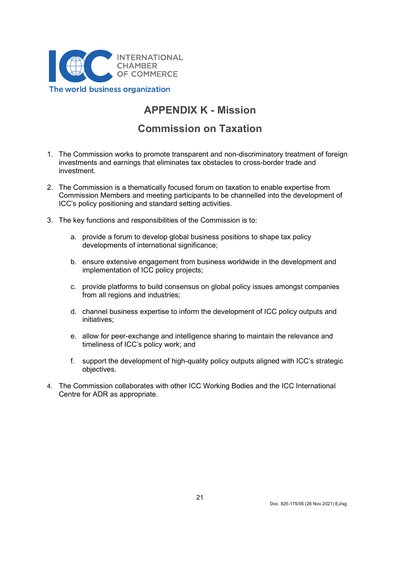

# APPENDIX K - Mission

## Commission on Taxation

- 1. The Commission works to promote transparent and non-discriminatory treatment of foreign investments and earnings that eliminates tax obstacles to cross-border trade and investment.
- 2. The Commission is a thematically focused forum on taxation to enable expertise from Commission Members and meeting participants to be channelled into the development of ICC's policy positioning and standard setting activities.
- 3. The key functions and responsibilities of the Commission is to:
	- a. provide a forum to develop global business positions to shape tax policy developments of international significance;
	- b. ensure extensive engagement from business worldwide in the development and implementation of ICC policy projects;
	- c. provide platforms to build consensus on global policy issues amongst companies from all regions and industries;
	- d. channel business expertise to inform the development of ICC policy outputs and initiatives;
	- e. allow for peer-exchange and intelligence sharing to maintain the relevance and timeliness of ICC's policy work; and
	- f. support the development of high-quality policy outputs aligned with ICC's strategic objectives.
- 4. The Commission collaborates with other ICC Working Bodies and the ICC International Centre for ADR as appropriate.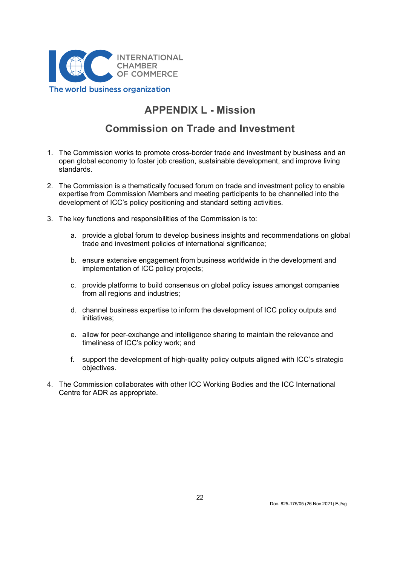

# APPENDIX L - Mission

## Commission on Trade and Investment

- 1. The Commission works to promote cross-border trade and investment by business and an open global economy to foster job creation, sustainable development, and improve living standards.
- 2. The Commission is a thematically focused forum on trade and investment policy to enable expertise from Commission Members and meeting participants to be channelled into the development of ICC's policy positioning and standard setting activities.
- 3. The key functions and responsibilities of the Commission is to:
	- a. provide a global forum to develop business insights and recommendations on global trade and investment policies of international significance;
	- b. ensure extensive engagement from business worldwide in the development and implementation of ICC policy projects;
	- c. provide platforms to build consensus on global policy issues amongst companies from all regions and industries;
	- d. channel business expertise to inform the development of ICC policy outputs and initiatives;
	- e. allow for peer-exchange and intelligence sharing to maintain the relevance and timeliness of ICC's policy work; and
	- f. support the development of high-quality policy outputs aligned with ICC's strategic objectives.
- 4. The Commission collaborates with other ICC Working Bodies and the ICC International Centre for ADR as appropriate.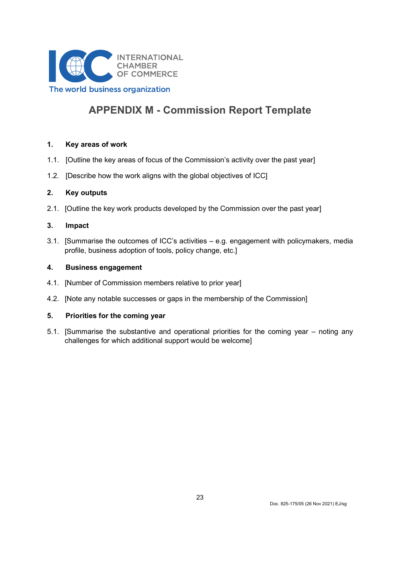

# APPENDIX M - Commission Report Template

### 1. Key areas of work

- 1.1. [Outline the key areas of focus of the Commission's activity over the past year]
- 1.2. [Describe how the work aligns with the global objectives of ICC]

### 2. Key outputs

2.1. [Outline the key work products developed by the Commission over the past year]

### 3. Impact

3.1. [Summarise the outcomes of ICC's activities – e.g. engagement with policymakers, media profile, business adoption of tools, policy change, etc.]

### 4. Business engagement

- 4.1. [Number of Commission members relative to prior year]
- 4.2. [Note any notable successes or gaps in the membership of the Commission]

### 5. Priorities for the coming year

5.1. [Summarise the substantive and operational priorities for the coming year – noting any challenges for which additional support would be welcome]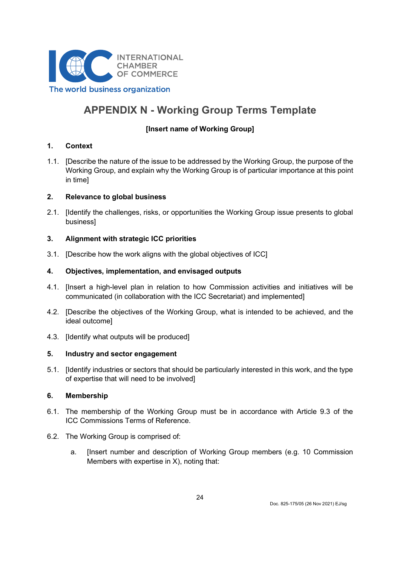

# APPENDIX N - Working Group Terms Template

## [Insert name of Working Group]

### 1. Context

1.1. [Describe the nature of the issue to be addressed by the Working Group, the purpose of the Working Group, and explain why the Working Group is of particular importance at this point in time]

### 2. Relevance to global business

2.1. [Identify the challenges, risks, or opportunities the Working Group issue presents to global business]

## 3. Alignment with strategic ICC priorities

3.1. [Describe how the work aligns with the global objectives of ICC]

## 4. Objectives, implementation, and envisaged outputs

- 4.1. [Insert a high-level plan in relation to how Commission activities and initiatives will be communicated (in collaboration with the ICC Secretariat) and implemented]
- 4.2. [Describe the objectives of the Working Group, what is intended to be achieved, and the ideal outcome]
- 4.3. [Identify what outputs will be produced]

### 5. Industry and sector engagement

5.1. [Identify industries or sectors that should be particularly interested in this work, and the type of expertise that will need to be involved]

### 6. Membership

- 6.1. The membership of the Working Group must be in accordance with Article 9.3 of the ICC Commissions Terms of Reference.
- 6.2. The Working Group is comprised of:
	- a. [Insert number and description of Working Group members (e.g. 10 Commission Members with expertise in X), noting that: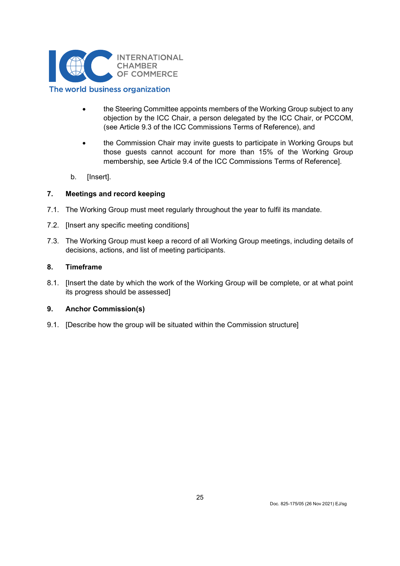

- the Steering Committee appoints members of the Working Group subject to any objection by the ICC Chair, a person delegated by the ICC Chair, or PCCOM, (see Article 9.3 of the ICC Commissions Terms of Reference), and
- the Commission Chair may invite guests to participate in Working Groups but those guests cannot account for more than 15% of the Working Group membership, see Article 9.4 of the ICC Commissions Terms of Reference].
- b. [Insert].

## 7. Meetings and record keeping

- 7.1. The Working Group must meet regularly throughout the year to fulfil its mandate.
- 7.2. [Insert any specific meeting conditions]
- 7.3. The Working Group must keep a record of all Working Group meetings, including details of decisions, actions, and list of meeting participants.

### 8. Timeframe

8.1. [Insert the date by which the work of the Working Group will be complete, or at what point its progress should be assessed]

### 9. Anchor Commission(s)

9.1. [Describe how the group will be situated within the Commission structure]